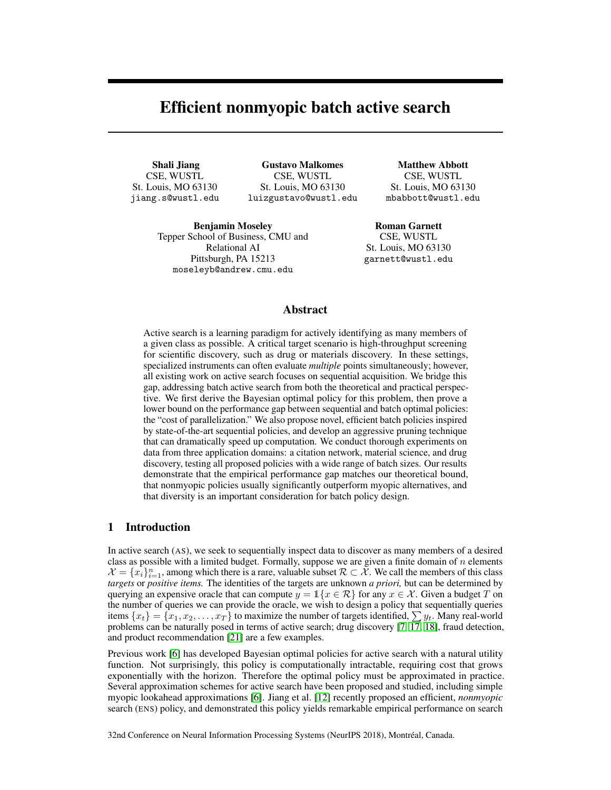# Efficient nonmyopic batch active search

Shali Jiang CSE, WUSTL St. Louis, MO 63130 jiang.s@wustl.edu

Gustavo Malkomes CSE, WUSTL St. Louis, MO 63130 luizgustavo@wustl.edu

Matthew Abbott CSE, WUSTL St. Louis, MO 63130 mbabbott@wustl.edu

Benjamin Moseley Tepper School of Business, CMU and Relational AI Pittsburgh, PA 15213 moseleyb@andrew.cmu.edu

Roman Garnett CSE, WUSTL St. Louis, MO 63130 garnett@wustl.edu

# Abstract

Active search is a learning paradigm for actively identifying as many members of a given class as possible. A critical target scenario is high-throughput screening for scientific discovery, such as drug or materials discovery. In these settings, specialized instruments can often evaluate *multiple* points simultaneously; however, all existing work on active search focuses on sequential acquisition. We bridge this gap, addressing batch active search from both the theoretical and practical perspective. We first derive the Bayesian optimal policy for this problem, then prove a lower bound on the performance gap between sequential and batch optimal policies: the "cost of parallelization." We also propose novel, efficient batch policies inspired by state-of-the-art sequential policies, and develop an aggressive pruning technique that can dramatically speed up computation. We conduct thorough experiments on data from three application domains: a citation network, material science, and drug discovery, testing all proposed policies with a wide range of batch sizes. Our results demonstrate that the empirical performance gap matches our theoretical bound, that nonmyopic policies usually significantly outperform myopic alternatives, and that diversity is an important consideration for batch policy design.

## 1 Introduction

In active search (AS), we seek to sequentially inspect data to discover as many members of a desired class as possible with a limited budget. Formally, suppose we are given a finite domain of  $n$  elements  $\mathcal{X} = \{x_i\}_{i=1}^n$ , among which there is a rare, valuable subset  $\mathcal{R} \subset \mathcal{X}$ . We call the members of this class *targets* or *positive items.* The identities of the targets are unknown *a priori,* but can be determined by querying an expensive oracle that can compute  $y = \mathbb{1}\{x \in \mathcal{R}\}\$  for any  $x \in \mathcal{X}$ . Given a budget T on the number of queries we can provide the oracle, we wish to design a policy that sequentially queries items  $\{x_t\} = \{x_1, x_2, \ldots, x_T\}$  to maximize the number of targets identified,  $\sum y_t$ . Many real-world problems can be naturally posed in terms of active search; drug discovery [7, 17, 18], fraud detection, and product recommendation [21] are a few examples.

Previous work [6] has developed Bayesian optimal policies for active search with a natural utility function. Not surprisingly, this policy is computationally intractable, requiring cost that grows exponentially with the horizon. Therefore the optimal policy must be approximated in practice. Several approximation schemes for active search have been proposed and studied, including simple myopic lookahead approximations [6]. Jiang et al. [12] recently proposed an efficient, *nonmyopic* search (ENS) policy, and demonstrated this policy yields remarkable empirical performance on search

32nd Conference on Neural Information Processing Systems (NeurIPS 2018), Montréal, Canada.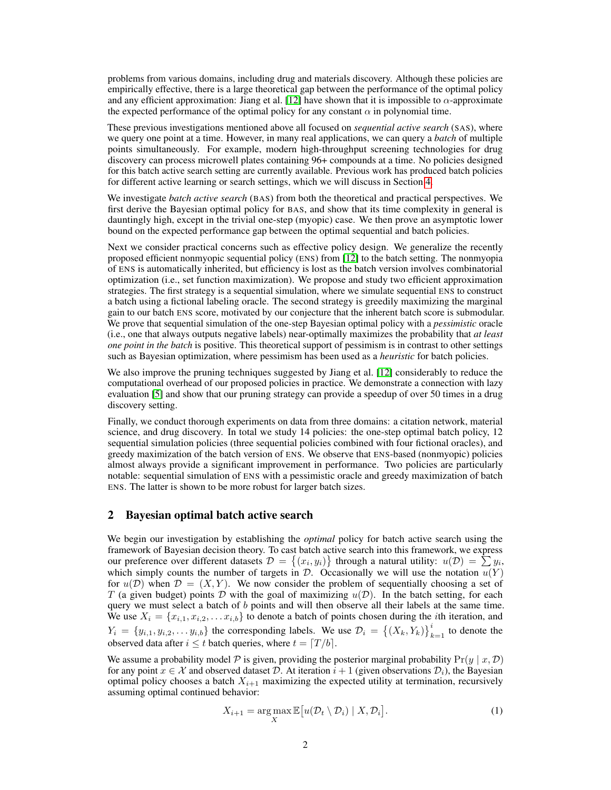problems from various domains, including drug and materials discovery. Although these policies are empirically effective, there is a large theoretical gap between the performance of the optimal policy and any efficient approximation: Jiang et al. [12] have shown that it is impossible to  $\alpha$ -approximate the expected performance of the optimal policy for any constant  $\alpha$  in polynomial time.

These previous investigations mentioned above all focused on *sequential active search* (SAS), where we query one point at a time. However, in many real applications, we can query a *batch* of multiple points simultaneously. For example, modern high-throughput screening technologies for drug discovery can process microwell plates containing 96+ compounds at a time. No policies designed for this batch active search setting are currently available. Previous work has produced batch policies for different active learning or search settings, which we will discuss in Section 4.

We investigate *batch active search* (BAS) from both the theoretical and practical perspectives. We first derive the Bayesian optimal policy for BAS, and show that its time complexity in general is dauntingly high, except in the trivial one-step (myopic) case. We then prove an asymptotic lower bound on the expected performance gap between the optimal sequential and batch policies.

Next we consider practical concerns such as effective policy design. We generalize the recently proposed efficient nonmyopic sequential policy (ENS) from [12] to the batch setting. The nonmyopia of ENS is automatically inherited, but efficiency is lost as the batch version involves combinatorial optimization (i.e., set function maximization). We propose and study two efficient approximation strategies. The first strategy is a sequential simulation, where we simulate sequential ENS to construct a batch using a fictional labeling oracle. The second strategy is greedily maximizing the marginal gain to our batch ENS score, motivated by our conjecture that the inherent batch score is submodular. We prove that sequential simulation of the one-step Bayesian optimal policy with a *pessimistic* oracle (i.e., one that always outputs negative labels) near-optimally maximizes the probability that *at least one point in the batch* is positive. This theoretical support of pessimism is in contrast to other settings such as Bayesian optimization, where pessimism has been used as a *heuristic* for batch policies.

We also improve the pruning techniques suggested by Jiang et al. [12] considerably to reduce the computational overhead of our proposed policies in practice. We demonstrate a connection with lazy evaluation [5] and show that our pruning strategy can provide a speedup of over 50 times in a drug discovery setting.

Finally, we conduct thorough experiments on data from three domains: a citation network, material science, and drug discovery. In total we study 14 policies: the one-step optimal batch policy, 12 sequential simulation policies (three sequential policies combined with four fictional oracles), and greedy maximization of the batch version of ENS. We observe that ENS-based (nonmyopic) policies almost always provide a significant improvement in performance. Two policies are particularly notable: sequential simulation of ENS with a pessimistic oracle and greedy maximization of batch ENS. The latter is shown to be more robust for larger batch sizes.

## 2 Bayesian optimal batch active search

We begin our investigation by establishing the *optimal* policy for batch active search using the framework of Bayesian decision theory. To cast batch active search into this framework, we express our preference over different datasets  $\mathcal{D} = \{(x_i, y_i)\}\)$  through a natural utility:  $u(\mathcal{D}) = \sum y_i$ , which simply counts the number of targets in  $\mathcal{D}$ . Occasionally we will use the notation  $u(Y)$ for  $u(\mathcal{D})$  when  $\mathcal{D} = (X, Y)$ . We now consider the problem of sequentially choosing a set of T (a given budget) points D with the goal of maximizing  $u(D)$ . In the batch setting, for each query we must select a batch of  $b$  points and will then observe all their labels at the same time. We use  $X_i = \{x_{i,1}, x_{i,2}, \ldots x_{i,b}\}\$  to denote a batch of points chosen during the *i*th iteration, and  $Y_i = \{y_{i,1}, y_{i,2}, \dots y_{i,b}\}\$  the corresponding labels. We use  $\mathcal{D}_i = \{(X_k, Y_k)\}_{k=1}^i$  to denote the observed data after  $i \leq t$  batch queries, where  $t = \lfloor T / b \rfloor$ .

We assume a probability model P is given, providing the posterior marginal probability  $Pr(y | x, D)$ for any point  $x \in \mathcal{X}$  and observed dataset D. At iteration  $i + 1$  (given observations  $\mathcal{D}_i$ ), the Bayesian optimal policy chooses a batch  $X_{i+1}$  maximizing the expected utility at termination, recursively assuming optimal continued behavior:

$$
X_{i+1} = \underset{X}{\arg \max} \mathbb{E}\big[u(\mathcal{D}_t \setminus \mathcal{D}_i) \mid X, \mathcal{D}_i\big].\tag{1}
$$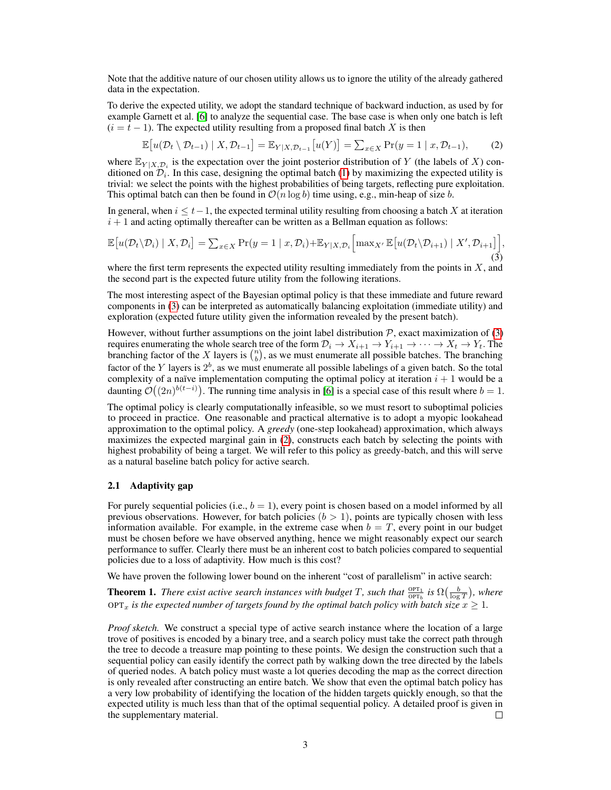Note that the additive nature of our chosen utility allows us to ignore the utility of the already gathered data in the expectation.

To derive the expected utility, we adopt the standard technique of backward induction, as used by for example Garnett et al. [6] to analyze the sequential case. The base case is when only one batch is left  $(i = t - 1)$ . The expected utility resulting from a proposed final batch X is then

$$
\mathbb{E}\big[u(\mathcal{D}_t \setminus \mathcal{D}_{t-1}) \mid X, \mathcal{D}_{t-1}\big] = \mathbb{E}_{Y|X, \mathcal{D}_{t-1}}\big[u(Y)\big] = \sum_{x \in X} \Pr(y = 1 \mid x, \mathcal{D}_{t-1}),\tag{2}
$$

where  $\mathbb{E}_{Y|X,\mathcal{D}_i}$  is the expectation over the joint posterior distribution of Y (the labels of X) conditioned on  $\mathcal{D}_i$ . In this case, designing the optimal batch (1) by maximizing the expected utility is trivial: we select the points with the highest probabilities of being targets, reflecting pure exploitation. This optimal batch can then be found in  $\mathcal{O}(n \log b)$  time using, e.g., min-heap of size b.

In general, when  $i \le t-1$ , the expected terminal utility resulting from choosing a batch X at iteration  $i + 1$  and acting optimally thereafter can be written as a Bellman equation as follows:

$$
\mathbb{E}\big[u(\mathcal{D}_t\setminus\mathcal{D}_i)\mid X,\mathcal{D}_i\big] = \sum_{x\in X} \Pr(y=1\mid x,\mathcal{D}_i) + \mathbb{E}_{Y|X,\mathcal{D}_i}\bigg[\max_{X'} \mathbb{E}\big[u(\mathcal{D}_t\setminus\mathcal{D}_{i+1})\mid X',\mathcal{D}_{i+1}\big]\bigg],\tag{3}
$$

where the first term represents the expected utility resulting immediately from the points in  $X$ , and the second part is the expected future utility from the following iterations.

The most interesting aspect of the Bayesian optimal policy is that these immediate and future reward components in (3) can be interpreted as automatically balancing exploitation (immediate utility) and exploration (expected future utility given the information revealed by the present batch).

However, without further assumptions on the joint label distribution  $P$ , exact maximization of (3) requires enumerating the whole search tree of the form  $\mathcal{D}_i \to X_{i+1} \to Y_{i+1} \to \cdots \to X_t \to Y_t$ . The branching factor of the X layers is  $\binom{n}{b}$ , as we must enumerate all possible batches. The branching factor of the Y layers is  $2^b$ , as we must enumerate all possible labelings of a given batch. So the total complexity of a naïve implementation computing the optimal policy at iteration  $i + 1$  would be a daunting  $\mathcal{O}((2n)^{b(t-i)})$ . The running time analysis in [6] is a special case of this result where  $b=1$ .

The optimal policy is clearly computationally infeasible, so we must resort to suboptimal policies to proceed in practice. One reasonable and practical alternative is to adopt a myopic lookahead approximation to the optimal policy. A *greedy* (one-step lookahead) approximation, which always maximizes the expected marginal gain in (2), constructs each batch by selecting the points with highest probability of being a target. We will refer to this policy as greedy-batch, and this will serve as a natural baseline batch policy for active search.

#### 2.1 Adaptivity gap

For purely sequential policies (i.e.,  $b = 1$ ), every point is chosen based on a model informed by all previous observations. However, for batch policies  $(b > 1)$ , points are typically chosen with less information available. For example, in the extreme case when  $b = T$ , every point in our budget must be chosen before we have observed anything, hence we might reasonably expect our search performance to suffer. Clearly there must be an inherent cost to batch policies compared to sequential policies due to a loss of adaptivity. How much is this cost?

We have proven the following lower bound on the inherent "cost of parallelism" in active search:

**Theorem 1.** *There exist active search instances with budget* T, such that  $\frac{OPT_1}{OPT_b}$  is  $\Omega(\frac{b}{\log T})$ , where  $OPT_x$  *is the expected number of targets found by the optimal batch policy with batch size*  $x \geq 1$ *.* 

*Proof sketch.* We construct a special type of active search instance where the location of a large trove of positives is encoded by a binary tree, and a search policy must take the correct path through the tree to decode a treasure map pointing to these points. We design the construction such that a sequential policy can easily identify the correct path by walking down the tree directed by the labels of queried nodes. A batch policy must waste a lot queries decoding the map as the correct direction is only revealed after constructing an entire batch. We show that even the optimal batch policy has a very low probability of identifying the location of the hidden targets quickly enough, so that the expected utility is much less than that of the optimal sequential policy. A detailed proof is given in the supplementary material. П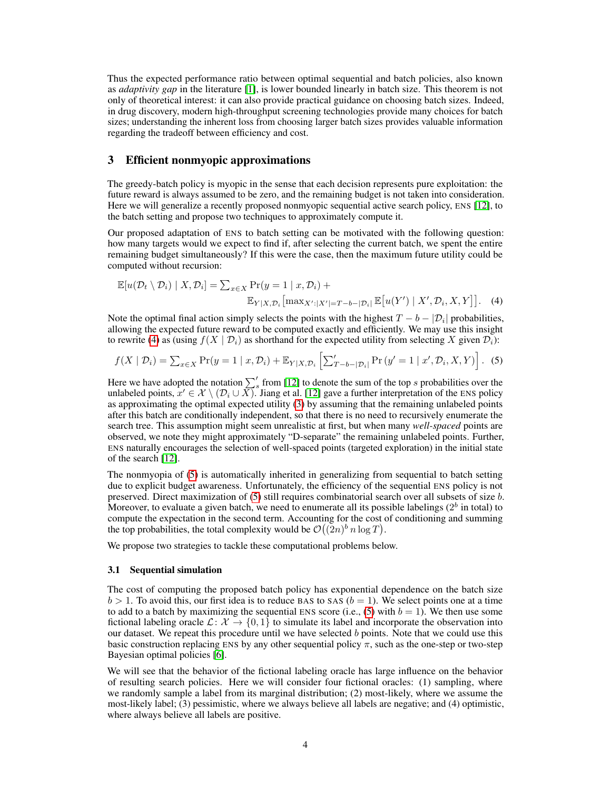Thus the expected performance ratio between optimal sequential and batch policies, also known as *adaptivity gap* in the literature [1], is lower bounded linearly in batch size. This theorem is not only of theoretical interest: it can also provide practical guidance on choosing batch sizes. Indeed, in drug discovery, modern high-throughput screening technologies provide many choices for batch sizes; understanding the inherent loss from choosing larger batch sizes provides valuable information regarding the tradeoff between efficiency and cost.

## 3 Efficient nonmyopic approximations

The greedy-batch policy is myopic in the sense that each decision represents pure exploitation: the future reward is always assumed to be zero, and the remaining budget is not taken into consideration. Here we will generalize a recently proposed nonmyopic sequential active search policy, ENS [12], to the batch setting and propose two techniques to approximately compute it.

Our proposed adaptation of ENS to batch setting can be motivated with the following question: how many targets would we expect to find if, after selecting the current batch, we spent the entire remaining budget simultaneously? If this were the case, then the maximum future utility could be computed without recursion:

$$
\mathbb{E}[u(\mathcal{D}_t \setminus \mathcal{D}_i) | X, \mathcal{D}_i] = \sum_{x \in X} \Pr(y = 1 | x, \mathcal{D}_i) + \mathbb{E}_{Y|X, \mathcal{D}_i}[\max_{X': |X'| = T - b - |\mathcal{D}_i|} \mathbb{E}[u(Y') | X', \mathcal{D}_i, X, Y]].
$$
 (4)

Note the optimal final action simply selects the points with the highest  $T - b - |\mathcal{D}_i|$  probabilities, allowing the expected future reward to be computed exactly and efficiently. We may use this insight to rewrite (4) as (using  $f(X | \mathcal{D}_i)$  as shorthand for the expected utility from selecting X given  $\mathcal{D}_i$ ):

$$
f(X \mid \mathcal{D}_i) = \sum_{x \in X} \Pr(y = 1 \mid x, \mathcal{D}_i) + \mathbb{E}_{Y \mid X, \mathcal{D}_i} \left[ \sum_{T-b-\mathcal{D}_i}^{\prime} \Pr(y' = 1 \mid x', \mathcal{D}_i, X, Y) \right].
$$
 (5)

Here we have adopted the notation  $\sum_{s=1}^{6}$  from [12] to denote the sum of the top s probabilities over the unlabeled points,  $x' \in \mathcal{X} \setminus (D_i \cup \overline{X})$ . Jiang et al. [12] gave a further interpretation of the ENS policy as approximating the optimal expected utility (3) by assuming that the remaining unlabeled points after this batch are conditionally independent, so that there is no need to recursively enumerate the search tree. This assumption might seem unrealistic at first, but when many *well-spaced* points are observed, we note they might approximately "D-separate" the remaining unlabeled points. Further, ENS naturally encourages the selection of well-spaced points (targeted exploration) in the initial state of the search [12].

The nonmyopia of (5) is automatically inherited in generalizing from sequential to batch setting due to explicit budget awareness. Unfortunately, the efficiency of the sequential ENS policy is not preserved. Direct maximization of  $(5)$  still requires combinatorial search over all subsets of size  $b$ . Moreover, to evaluate a given batch, we need to enumerate all its possible labelings ( $2^b$  in total) to compute the expectation in the second term. Accounting for the cost of conditioning and summing the top probabilities, the total complexity would be  $\mathcal{O}((2n)^b n \log T)$ .

We propose two strategies to tackle these computational problems below.

#### 3.1 Sequential simulation

The cost of computing the proposed batch policy has exponential dependence on the batch size  $b > 1$ . To avoid this, our first idea is to reduce BAS to SAS ( $b = 1$ ). We select points one at a time to add to a batch by maximizing the sequential ENS score (i.e., (5) with  $b = 1$ ). We then use some fictional labeling oracle  $\mathcal{L}: \mathcal{X} \to \{0,1\}$  to simulate its label and incorporate the observation into our dataset. We repeat this procedure until we have selected  $b$  points. Note that we could use this basic construction replacing ENS by any other sequential policy  $\pi$ , such as the one-step or two-step Bayesian optimal policies [6].

We will see that the behavior of the fictional labeling oracle has large influence on the behavior of resulting search policies. Here we will consider four fictional oracles: (1) sampling, where we randomly sample a label from its marginal distribution; (2) most-likely, where we assume the most-likely label; (3) pessimistic, where we always believe all labels are negative; and (4) optimistic, where always believe all labels are positive.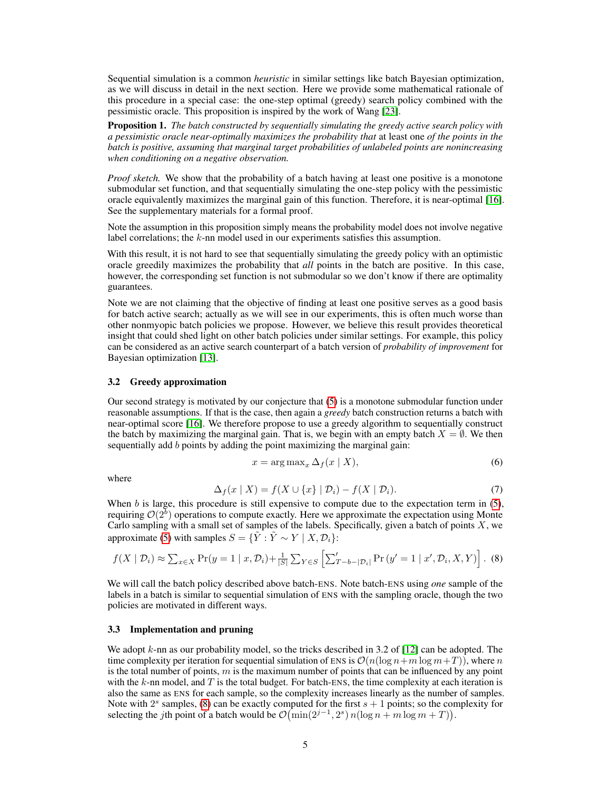Sequential simulation is a common *heuristic* in similar settings like batch Bayesian optimization, as we will discuss in detail in the next section. Here we provide some mathematical rationale of this procedure in a special case: the one-step optimal (greedy) search policy combined with the pessimistic oracle. This proposition is inspired by the work of Wang [23].

Proposition 1. *The batch constructed by sequentially simulating the greedy active search policy with a pessimistic oracle near-optimally maximizes the probability that* at least one *of the points in the batch is positive, assuming that marginal target probabilities of unlabeled points are nonincreasing when conditioning on a negative observation.*

*Proof sketch.* We show that the probability of a batch having at least one positive is a monotone submodular set function, and that sequentially simulating the one-step policy with the pessimistic oracle equivalently maximizes the marginal gain of this function. Therefore, it is near-optimal [16]. See the supplementary materials for a formal proof.

Note the assumption in this proposition simply means the probability model does not involve negative label correlations; the  $k$ -nn model used in our experiments satisfies this assumption.

With this result, it is not hard to see that sequentially simulating the greedy policy with an optimistic oracle greedily maximizes the probability that *all* points in the batch are positive. In this case, however, the corresponding set function is not submodular so we don't know if there are optimality guarantees.

Note we are not claiming that the objective of finding at least one positive serves as a good basis for batch active search; actually as we will see in our experiments, this is often much worse than other nonmyopic batch policies we propose. However, we believe this result provides theoretical insight that could shed light on other batch policies under similar settings. For example, this policy can be considered as an active search counterpart of a batch version of *probability of improvement* for Bayesian optimization [13].

#### 3.2 Greedy approximation

Our second strategy is motivated by our conjecture that (5) is a monotone submodular function under reasonable assumptions. If that is the case, then again a *greedy* batch construction returns a batch with near-optimal score [16]. We therefore propose to use a greedy algorithm to sequentially construct the batch by maximizing the marginal gain. That is, we begin with an empty batch  $X = \emptyset$ . We then sequentially add b points by adding the point maximizing the marginal gain:

$$
x = \arg \max_{x} \Delta_f(x \mid X), \tag{6}
$$

where

$$
\Delta_f(x \mid X) = f(X \cup \{x\} \mid \mathcal{D}_i) - f(X \mid \mathcal{D}_i). \tag{7}
$$

When  $b$  is large, this procedure is still expensive to compute due to the expectation term in  $(5)$ , requiring  $\mathcal{O}(2^b)$  operations to compute exactly. Here we approximate the expectation using Monte Carlo sampling with a small set of samples of the labels. Specifically, given a batch of points  $X$ , we approximate (5) with samples  $S = {\tilde{Y} : \tilde{Y} \sim Y \mid X, \mathcal{D}_i}$ :

$$
f(X \mid \mathcal{D}_i) \approx \sum_{x \in X} \Pr(y = 1 \mid x, \mathcal{D}_i) + \frac{1}{|S|} \sum_{Y \in S} \left[ \sum_{T-b-|\mathcal{D}_i|}^{\prime} \Pr(y' = 1 \mid x', \mathcal{D}_i, X, Y) \right].
$$
 (8)

We will call the batch policy described above batch-ENS. Note batch-ENS using *one* sample of the labels in a batch is similar to sequential simulation of ENS with the sampling oracle, though the two policies are motivated in different ways.

#### 3.3 Implementation and pruning

We adopt  $k$ -nn as our probability model, so the tricks described in 3.2 of [12] can be adopted. The time complexity per iteration for sequential simulation of ENS is  $\mathcal{O}(n(\log n+m \log m+T))$ , where n is the total number of points,  $m$  is the maximum number of points that can be influenced by any point with the  $k$ -nn model, and  $T$  is the total budget. For batch-ENS, the time complexity at each iteration is also the same as ENS for each sample, so the complexity increases linearly as the number of samples. Note with  $2<sup>s</sup>$  samples, (8) can be exactly computed for the first  $s + 1$  points; so the complexity for selecting the jth point of a batch would be  $\mathcal{O}(\min(2^{j-1}, 2^s) n(\log n + m \log m + T)).$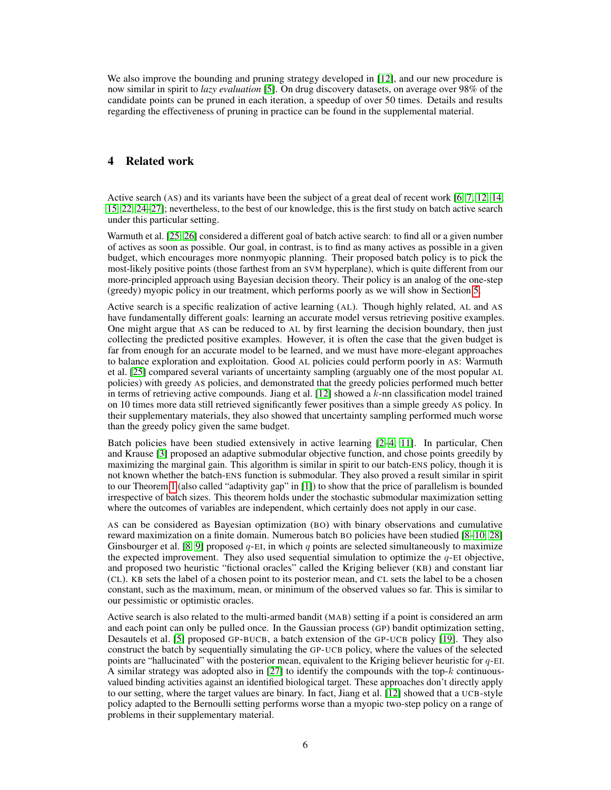We also improve the bounding and pruning strategy developed in [12], and our new procedure is now similar in spirit to *lazy evaluation* [5]. On drug discovery datasets, on average over 98% of the candidate points can be pruned in each iteration, a speedup of over 50 times. Details and results regarding the effectiveness of pruning in practice can be found in the supplemental material.

## 4 Related work

Active search (AS) and its variants have been the subject of a great deal of recent work [6, 7, 12, 14, 15, 22, 24–27]; nevertheless, to the best of our knowledge, this is the first study on batch active search under this particular setting.

Warmuth et al. [25, 26] considered a different goal of batch active search: to find all or a given number of actives as soon as possible. Our goal, in contrast, is to find as many actives as possible in a given budget, which encourages more nonmyopic planning. Their proposed batch policy is to pick the most-likely positive points (those farthest from an SVM hyperplane), which is quite different from our more-principled approach using Bayesian decision theory. Their policy is an analog of the one-step (greedy) myopic policy in our treatment, which performs poorly as we will show in Section 5.

Active search is a specific realization of active learning (AL). Though highly related, AL and AS have fundamentally different goals: learning an accurate model versus retrieving positive examples. One might argue that AS can be reduced to AL by first learning the decision boundary, then just collecting the predicted positive examples. However, it is often the case that the given budget is far from enough for an accurate model to be learned, and we must have more-elegant approaches to balance exploration and exploitation. Good AL policies could perform poorly in AS: Warmuth et al. [25] compared several variants of uncertainty sampling (arguably one of the most popular AL policies) with greedy AS policies, and demonstrated that the greedy policies performed much better in terms of retrieving active compounds. Jiang et al.  $[12]$  showed a  $k$ -nn classification model trained on 10 times more data still retrieved significantly fewer positives than a simple greedy AS policy. In their supplementary materials, they also showed that uncertainty sampling performed much worse than the greedy policy given the same budget.

Batch policies have been studied extensively in active learning [2–4, 11]. In particular, Chen and Krause [3] proposed an adaptive submodular objective function, and chose points greedily by maximizing the marginal gain. This algorithm is similar in spirit to our batch-ENS policy, though it is not known whether the batch-ENS function is submodular. They also proved a result similar in spirit to our Theorem 1 (also called "adaptivity gap" in [1]) to show that the price of parallelism is bounded irrespective of batch sizes. This theorem holds under the stochastic submodular maximization setting where the outcomes of variables are independent, which certainly does not apply in our case.

AS can be considered as Bayesian optimization (BO) with binary observations and cumulative reward maximization on a finite domain. Numerous batch BO policies have been studied [8–10, 28] Ginsbourger et al. [8, 9] proposed  $q$ -EI, in which q points are selected simultaneously to maximize the expected improvement. They also used sequential simulation to optimize the  $q$ -EI objective, and proposed two heuristic "fictional oracles" called the Kriging believer (KB) and constant liar (CL). KB sets the label of a chosen point to its posterior mean, and CL sets the label to be a chosen constant, such as the maximum, mean, or minimum of the observed values so far. This is similar to our pessimistic or optimistic oracles.

Active search is also related to the multi-armed bandit (MAB) setting if a point is considered an arm and each point can only be pulled once. In the Gaussian process (GP) bandit optimization setting, Desautels et al. [5] proposed GP-BUCB, a batch extension of the GP-UCB policy [19]. They also construct the batch by sequentially simulating the GP-UCB policy, where the values of the selected points are "hallucinated" with the posterior mean, equivalent to the Kriging believer heuristic for  $q$ -EI. A similar strategy was adopted also in [27] to identify the compounds with the top- $k$  continuousvalued binding activities against an identified biological target. These approaches don't directly apply to our setting, where the target values are binary. In fact, Jiang et al. [12] showed that a UCB-style policy adapted to the Bernoulli setting performs worse than a myopic two-step policy on a range of problems in their supplementary material.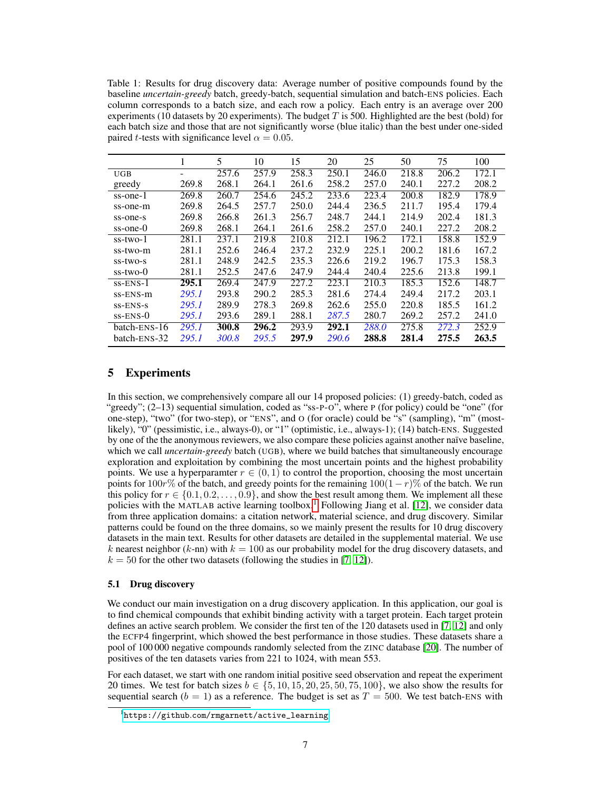Table 1: Results for drug discovery data: Average number of positive compounds found by the baseline *uncertain-greedy* batch, greedy-batch, sequential simulation and batch-ENS policies. Each column corresponds to a batch size, and each row a policy. Each entry is an average over 200 experiments (10 datasets by 20 experiments). The budget  $T$  is 500. Highlighted are the best (bold) for each batch size and those that are not significantly worse (blue italic) than the best under one-sided paired *t*-tests with significance level  $\alpha = 0.05$ .

|                | 1     | 5     | 10    | 15    | 20    | 25    | 50    | 75    | 100   |
|----------------|-------|-------|-------|-------|-------|-------|-------|-------|-------|
| <b>UGB</b>     | -     | 257.6 | 257.9 | 258.3 | 250.1 | 246.0 | 218.8 | 206.2 | 172.1 |
| greedy         | 269.8 | 268.1 | 264.1 | 261.6 | 258.2 | 257.0 | 240.1 | 227.2 | 208.2 |
| ss-one-1       | 269.8 | 260.7 | 254.6 | 245.2 | 233.6 | 223.4 | 200.8 | 182.9 | 178.9 |
| ss-one-m       | 269.8 | 264.5 | 257.7 | 250.0 | 244.4 | 236.5 | 211.7 | 195.4 | 179.4 |
| ss-one-s       | 269.8 | 266.8 | 261.3 | 256.7 | 248.7 | 244.1 | 214.9 | 202.4 | 181.3 |
| ss-one-0       | 269.8 | 268.1 | 264.1 | 261.6 | 258.2 | 257.0 | 240.1 | 227.2 | 208.2 |
| ss-two-1       | 281.1 | 237.1 | 219.8 | 210.8 | 212.1 | 196.2 | 172.1 | 158.8 | 152.9 |
| ss-two-m       | 281.1 | 252.6 | 246.4 | 237.2 | 232.9 | 225.1 | 200.2 | 181.6 | 167.2 |
| ss-two-s       | 281.1 | 248.9 | 242.5 | 235.3 | 226.6 | 219.2 | 196.7 | 175.3 | 158.3 |
| $ss$ -two- $0$ | 281.1 | 252.5 | 247.6 | 247.9 | 244.4 | 240.4 | 225.6 | 213.8 | 199.1 |
| $ss-ENS-1$     | 295.1 | 269.4 | 247.9 | 227.2 | 223.1 | 210.3 | 185.3 | 152.6 | 148.7 |
| ss-ENS-m       | 295.1 | 293.8 | 290.2 | 285.3 | 281.6 | 274.4 | 249.4 | 217.2 | 203.1 |
| $SS-ENS-S$     | 295.1 | 289.9 | 278.3 | 269.8 | 262.6 | 255.0 | 220.8 | 185.5 | 161.2 |
| $ss-ENS-0$     | 295.1 | 293.6 | 289.1 | 288.1 | 287.5 | 280.7 | 269.2 | 257.2 | 241.0 |
| batch-ENS-16   | 295.1 | 300.8 | 296.2 | 293.9 | 292.1 | 288.0 | 275.8 | 272.3 | 252.9 |
| batch-ENS-32   | 295.1 | 300.8 | 295.5 | 297.9 | 290.6 | 288.8 | 281.4 | 275.5 | 263.5 |

# 5 Experiments

In this section, we comprehensively compare all our 14 proposed policies: (1) greedy-batch, coded as "greedy"; (2–13) sequential simulation, coded as "ss-P-O", where P (for policy) could be "one" (for one-step), "two" (for two-step), or "ENS", and O (for oracle) could be "s" (sampling), "m" (mostlikely), "0" (pessimistic, i.e., always-0), or "1" (optimistic, i.e., always-1); (14) batch-ENS. Suggested by one of the the anonymous reviewers, we also compare these policies against another naïve baseline, which we call *uncertain-greedy* batch (UGB), where we build batches that simultaneously encourage exploration and exploitation by combining the most uncertain points and the highest probability points. We use a hyperparamter  $r \in (0, 1)$  to control the proportion, choosing the most uncertain points for  $100r\%$  of the batch, and greedy points for the remaining  $100(1 - r)\%$  of the batch. We run this policy for  $r \in \{0.1, 0.2, \ldots, 0.9\}$ , and show the best result among them. We implement all these policies with the MATLAB active learning toolbox.<sup>1</sup> Following Jiang et al. [12], we consider data from three application domains: a citation network, material science, and drug discovery. Similar patterns could be found on the three domains, so we mainly present the results for 10 drug discovery datasets in the main text. Results for other datasets are detailed in the supplemental material. We use k nearest neighbor (k-nn) with  $k = 100$  as our probability model for the drug discovery datasets, and  $k = 50$  for the other two datasets (following the studies in [7, 12]).

#### 5.1 Drug discovery

We conduct our main investigation on a drug discovery application. In this application, our goal is to find chemical compounds that exhibit binding activity with a target protein. Each target protein defines an active search problem. We consider the first ten of the 120 datasets used in [7, 12] and only the ECFP4 fingerprint, which showed the best performance in those studies. These datasets share a pool of 100 000 negative compounds randomly selected from the ZINC database [20]. The number of positives of the ten datasets varies from 221 to 1024, with mean 553.

For each dataset, we start with one random initial positive seed observation and repeat the experiment 20 times. We test for batch sizes  $b \in \{5, 10, 15, 20, 25, 50, 75, 100\}$ , we also show the results for sequential search ( $b = 1$ ) as a reference. The budget is set as  $T = 500$ . We test batch-ENS with

<sup>1</sup> https://github.[com/rmgarnett/active\\_learning](https://github.com/rmgarnett/active_learning)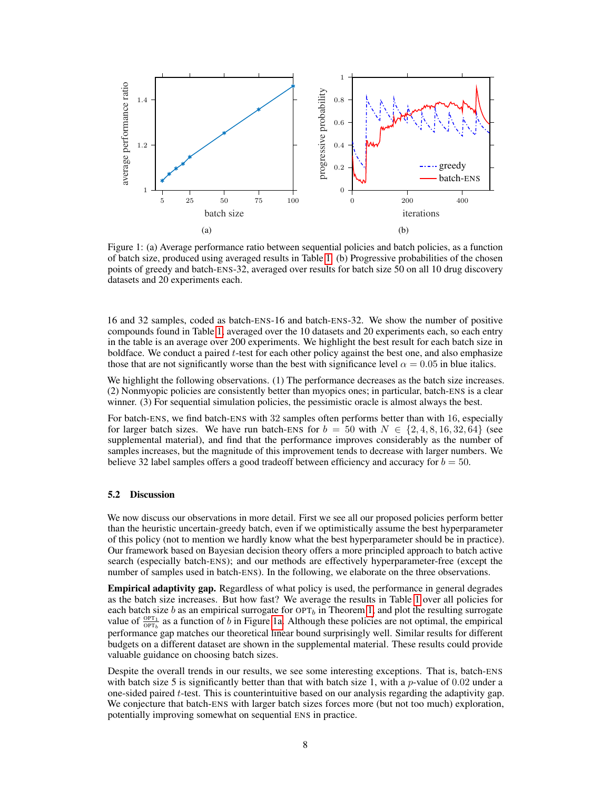

Figure 1: (a) Average performance ratio between sequential policies and batch policies, as a function of batch size, produced using averaged results in Table 1. (b) Progressive probabilities of the chosen points of greedy and batch-ENS-32, averaged over results for batch size 50 on all 10 drug discovery datasets and 20 experiments each.

16 and 32 samples, coded as batch-ENS-16 and batch-ENS-32. We show the number of positive compounds found in Table 1, averaged over the 10 datasets and 20 experiments each, so each entry in the table is an average over 200 experiments. We highlight the best result for each batch size in boldface. We conduct a paired  $t$ -test for each other policy against the best one, and also emphasize those that are not significantly worse than the best with significance level  $\alpha = 0.05$  in blue italics.

We highlight the following observations. (1) The performance decreases as the batch size increases. (2) Nonmyopic policies are consistently better than myopics ones; in particular, batch-ENS is a clear winner. (3) For sequential simulation policies, the pessimistic oracle is almost always the best.

For batch-ENS, we find batch-ENS with 32 samples often performs better than with 16, especially for larger batch sizes. We have run batch-ENS for  $b = 50$  with  $N \in \{2, 4, 8, 16, 32, 64\}$  (see supplemental material), and find that the performance improves considerably as the number of samples increases, but the magnitude of this improvement tends to decrease with larger numbers. We believe 32 label samples offers a good tradeoff between efficiency and accuracy for  $b = 50$ .

#### 5.2 Discussion

We now discuss our observations in more detail. First we see all our proposed policies perform better than the heuristic uncertain-greedy batch, even if we optimistically assume the best hyperparameter of this policy (not to mention we hardly know what the best hyperparameter should be in practice). Our framework based on Bayesian decision theory offers a more principled approach to batch active search (especially batch-ENS); and our methods are effectively hyperparameter-free (except the number of samples used in batch-ENS). In the following, we elaborate on the three observations.

Empirical adaptivity gap. Regardless of what policy is used, the performance in general degrades as the batch size increases. But how fast? We average the results in Table 1 over all policies for each batch size b as an empirical surrogate for  $\text{OPT}_b$  in Theorem 1, and plot the resulting surrogate value of  $\frac{OPT_1}{OPT_b}$  as a function of b in Figure 1a. Although these policies are not optimal, the empirical performance gap matches our theoretical linear bound surprisingly well. Similar results for different budgets on a different dataset are shown in the supplemental material. These results could provide valuable guidance on choosing batch sizes.

Despite the overall trends in our results, we see some interesting exceptions. That is, batch-ENS with batch size 5 is significantly better than that with batch size 1, with a p-value of  $0.02$  under a one-sided paired t-test. This is counterintuitive based on our analysis regarding the adaptivity gap. We conjecture that batch-ENS with larger batch sizes forces more (but not too much) exploration, potentially improving somewhat on sequential ENS in practice.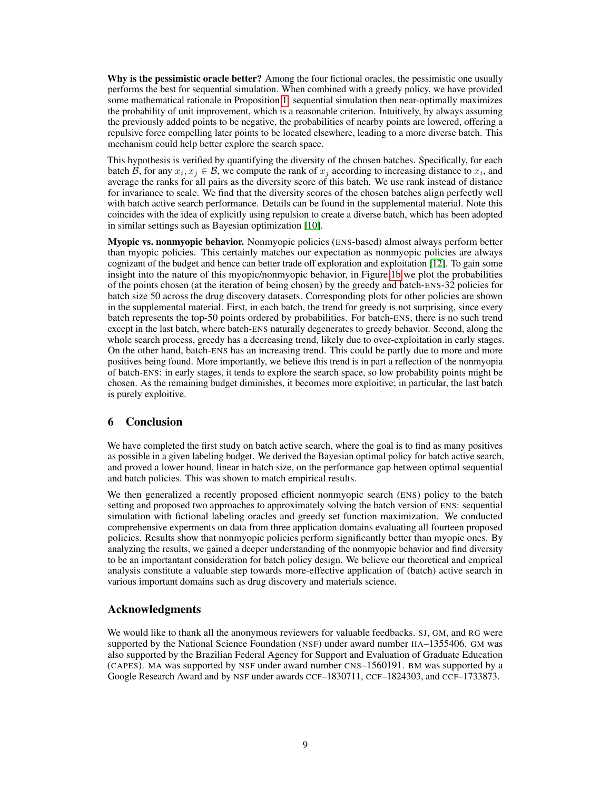Why is the pessimistic oracle better? Among the four fictional oracles, the pessimistic one usually performs the best for sequential simulation. When combined with a greedy policy, we have provided some mathematical rationale in Proposition 1: sequential simulation then near-optimally maximizes the probability of unit improvement, which is a reasonable criterion. Intuitively, by always assuming the previously added points to be negative, the probabilities of nearby points are lowered, offering a repulsive force compelling later points to be located elsewhere, leading to a more diverse batch. This mechanism could help better explore the search space.

This hypothesis is verified by quantifying the diversity of the chosen batches. Specifically, for each batch B, for any  $x_i, x_j \in \mathcal{B}$ , we compute the rank of  $x_j$  according to increasing distance to  $x_i$ , and average the ranks for all pairs as the diversity score of this batch. We use rank instead of distance for invariance to scale. We find that the diversity scores of the chosen batches align perfectly well with batch active search performance. Details can be found in the supplemental material. Note this coincides with the idea of explicitly using repulsion to create a diverse batch, which has been adopted in similar settings such as Bayesian optimization [10].

Myopic vs. nonmyopic behavior. Nonmyopic policies (ENS-based) almost always perform better than myopic policies. This certainly matches our expectation as nonmyopic policies are always cognizant of the budget and hence can better trade off exploration and exploitation [12]. To gain some insight into the nature of this myopic/nonmyopic behavior, in Figure 1b we plot the probabilities of the points chosen (at the iteration of being chosen) by the greedy and batch-ENS-32 policies for batch size 50 across the drug discovery datasets. Corresponding plots for other policies are shown in the supplemental material. First, in each batch, the trend for greedy is not surprising, since every batch represents the top-50 points ordered by probabilities. For batch-ENS, there is no such trend except in the last batch, where batch-ENS naturally degenerates to greedy behavior. Second, along the whole search process, greedy has a decreasing trend, likely due to over-exploitation in early stages. On the other hand, batch-ENS has an increasing trend. This could be partly due to more and more positives being found. More importantly, we believe this trend is in part a reflection of the nonmyopia of batch-ENS: in early stages, it tends to explore the search space, so low probability points might be chosen. As the remaining budget diminishes, it becomes more exploitive; in particular, the last batch is purely exploitive.

# 6 Conclusion

We have completed the first study on batch active search, where the goal is to find as many positives as possible in a given labeling budget. We derived the Bayesian optimal policy for batch active search, and proved a lower bound, linear in batch size, on the performance gap between optimal sequential and batch policies. This was shown to match empirical results.

We then generalized a recently proposed efficient nonmyopic search (ENS) policy to the batch setting and proposed two approaches to approximately solving the batch version of ENS: sequential simulation with fictional labeling oracles and greedy set function maximization. We conducted comprehensive experments on data from three application domains evaluating all fourteen proposed policies. Results show that nonmyopic policies perform significantly better than myopic ones. By analyzing the results, we gained a deeper understanding of the nonmyopic behavior and find diversity to be an importantant consideration for batch policy design. We believe our theoretical and emprical analysis constitute a valuable step towards more-effective application of (batch) active search in various important domains such as drug discovery and materials science.

## Acknowledgments

We would like to thank all the anonymous reviewers for valuable feedbacks. SJ, GM, and RG were supported by the National Science Foundation (NSF) under award number IIA–1355406. GM was also supported by the Brazilian Federal Agency for Support and Evaluation of Graduate Education (CAPES). MA was supported by NSF under award number CNS–1560191. BM was supported by a Google Research Award and by NSF under awards CCF–1830711, CCF–1824303, and CCF–1733873.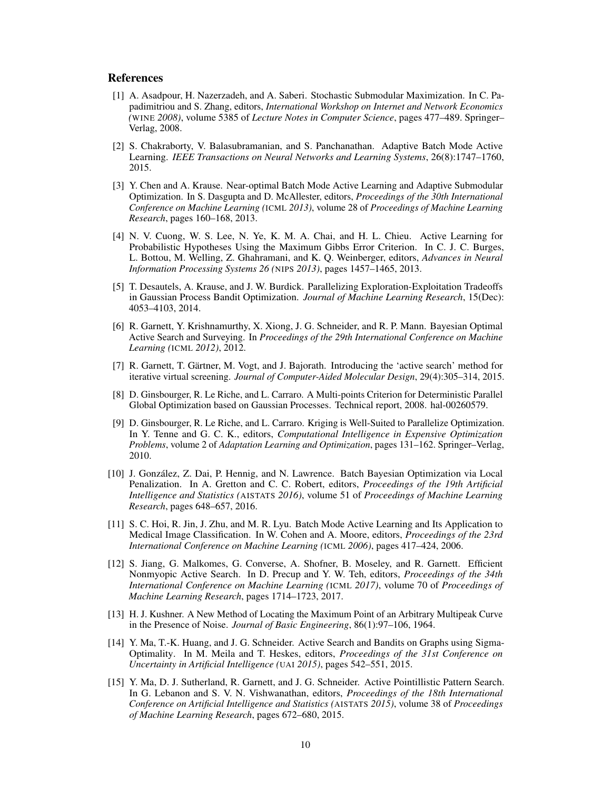## References

- [1] A. Asadpour, H. Nazerzadeh, and A. Saberi. Stochastic Submodular Maximization. In C. Papadimitriou and S. Zhang, editors, *International Workshop on Internet and Network Economics (*WINE *2008)*, volume 5385 of *Lecture Notes in Computer Science*, pages 477–489. Springer– Verlag, 2008.
- [2] S. Chakraborty, V. Balasubramanian, and S. Panchanathan. Adaptive Batch Mode Active Learning. *IEEE Transactions on Neural Networks and Learning Systems*, 26(8):1747–1760, 2015.
- [3] Y. Chen and A. Krause. Near-optimal Batch Mode Active Learning and Adaptive Submodular Optimization. In S. Dasgupta and D. McAllester, editors, *Proceedings of the 30th International Conference on Machine Learning (*ICML *2013)*, volume 28 of *Proceedings of Machine Learning Research*, pages 160–168, 2013.
- [4] N. V. Cuong, W. S. Lee, N. Ye, K. M. A. Chai, and H. L. Chieu. Active Learning for Probabilistic Hypotheses Using the Maximum Gibbs Error Criterion. In C. J. C. Burges, L. Bottou, M. Welling, Z. Ghahramani, and K. Q. Weinberger, editors, *Advances in Neural Information Processing Systems 26 (*NIPS *2013)*, pages 1457–1465, 2013.
- [5] T. Desautels, A. Krause, and J. W. Burdick. Parallelizing Exploration-Exploitation Tradeoffs in Gaussian Process Bandit Optimization. *Journal of Machine Learning Research*, 15(Dec): 4053–4103, 2014.
- [6] R. Garnett, Y. Krishnamurthy, X. Xiong, J. G. Schneider, and R. P. Mann. Bayesian Optimal Active Search and Surveying. In *Proceedings of the 29th International Conference on Machine Learning (*ICML *2012)*, 2012.
- [7] R. Garnett, T. Gärtner, M. Vogt, and J. Bajorath. Introducing the 'active search' method for iterative virtual screening. *Journal of Computer-Aided Molecular Design*, 29(4):305–314, 2015.
- [8] D. Ginsbourger, R. Le Riche, and L. Carraro. A Multi-points Criterion for Deterministic Parallel Global Optimization based on Gaussian Processes. Technical report, 2008. hal-00260579.
- [9] D. Ginsbourger, R. Le Riche, and L. Carraro. Kriging is Well-Suited to Parallelize Optimization. In Y. Tenne and G. C. K., editors, *Computational Intelligence in Expensive Optimization Problems*, volume 2 of *Adaptation Learning and Optimization*, pages 131–162. Springer–Verlag, 2010.
- [10] J. González, Z. Dai, P. Hennig, and N. Lawrence. Batch Bayesian Optimization via Local Penalization. In A. Gretton and C. C. Robert, editors, *Proceedings of the 19th Artificial Intelligence and Statistics (*AISTATS *2016)*, volume 51 of *Proceedings of Machine Learning Research*, pages 648–657, 2016.
- [11] S. C. Hoi, R. Jin, J. Zhu, and M. R. Lyu. Batch Mode Active Learning and Its Application to Medical Image Classification. In W. Cohen and A. Moore, editors, *Proceedings of the 23rd International Conference on Machine Learning (*ICML *2006)*, pages 417–424, 2006.
- [12] S. Jiang, G. Malkomes, G. Converse, A. Shofner, B. Moseley, and R. Garnett. Efficient Nonmyopic Active Search. In D. Precup and Y. W. Teh, editors, *Proceedings of the 34th International Conference on Machine Learning (*ICML *2017)*, volume 70 of *Proceedings of Machine Learning Research*, pages 1714–1723, 2017.
- [13] H. J. Kushner. A New Method of Locating the Maximum Point of an Arbitrary Multipeak Curve in the Presence of Noise. *Journal of Basic Engineering*, 86(1):97–106, 1964.
- [14] Y. Ma, T.-K. Huang, and J. G. Schneider. Active Search and Bandits on Graphs using Sigma-Optimality. In M. Meila and T. Heskes, editors, *Proceedings of the 31st Conference on Uncertainty in Artificial Intelligence (*UAI *2015)*, pages 542–551, 2015.
- [15] Y. Ma, D. J. Sutherland, R. Garnett, and J. G. Schneider. Active Pointillistic Pattern Search. In G. Lebanon and S. V. N. Vishwanathan, editors, *Proceedings of the 18th International Conference on Artificial Intelligence and Statistics (*AISTATS *2015)*, volume 38 of *Proceedings of Machine Learning Research*, pages 672–680, 2015.